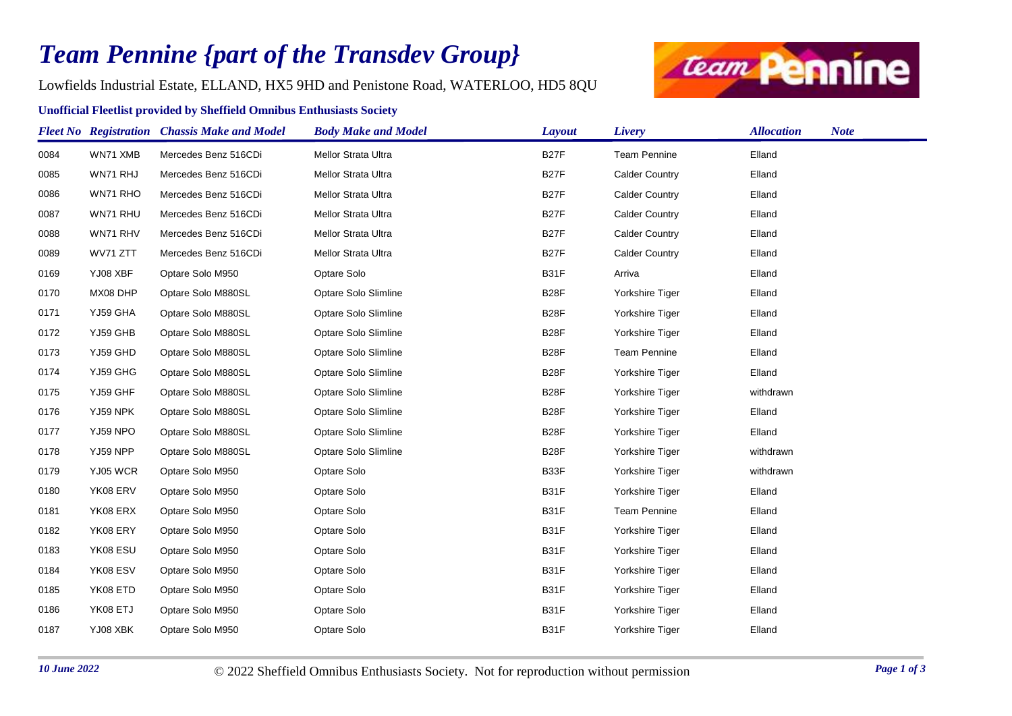## *Team Pennine {part of the Transdev Group}*

Lowfields Industrial Estate, ELLAND, HX5 9HD and Penistone Road, WATERLOO, HD5 8QU

## **Unofficial Fleetlist provided by Sheffield Omnibus Enthusiasts Society**



|      |          | <b>Fleet No</b> Registration Chassis Make and Model | <b>Body Make and Model</b> | <b>Layout</b>     | Livery                | <b>Allocation</b> | <b>Note</b> |
|------|----------|-----------------------------------------------------|----------------------------|-------------------|-----------------------|-------------------|-------------|
| 0084 | WN71 XMB | Mercedes Benz 516CDi                                | Mellor Strata Ultra        | B <sub>27</sub> F | <b>Team Pennine</b>   | Elland            |             |
| 0085 | WN71 RHJ | Mercedes Benz 516CDi                                | Mellor Strata Ultra        | <b>B27F</b>       | <b>Calder Country</b> | Elland            |             |
| 0086 | WN71 RHO | Mercedes Benz 516CDi                                | Mellor Strata Ultra        | <b>B27F</b>       | <b>Calder Country</b> | Elland            |             |
| 0087 | WN71 RHU | Mercedes Benz 516CDi                                | Mellor Strata Ultra        | B <sub>27</sub> F | <b>Calder Country</b> | Elland            |             |
| 0088 | WN71 RHV | Mercedes Benz 516CDi                                | Mellor Strata Ultra        | B <sub>27</sub> F | <b>Calder Country</b> | Elland            |             |
| 0089 | WV71 ZTT | Mercedes Benz 516CDi                                | Mellor Strata Ultra        | <b>B27F</b>       | <b>Calder Country</b> | Elland            |             |
| 0169 | YJ08 XBF | Optare Solo M950                                    | Optare Solo                | <b>B31F</b>       | Arriva                | Elland            |             |
| 0170 | MX08 DHP | Optare Solo M880SL                                  | Optare Solo Slimline       | B <sub>28</sub> F | Yorkshire Tiger       | Elland            |             |
| 0171 | YJ59 GHA | Optare Solo M880SL                                  | Optare Solo Slimline       | B <sub>28</sub> F | Yorkshire Tiger       | Elland            |             |
| 0172 | YJ59 GHB | Optare Solo M880SL                                  | Optare Solo Slimline       | B <sub>28</sub> F | Yorkshire Tiger       | Elland            |             |
| 0173 | YJ59 GHD | Optare Solo M880SL                                  | Optare Solo Slimline       | B <sub>28</sub> F | <b>Team Pennine</b>   | Elland            |             |
| 0174 | YJ59 GHG | Optare Solo M880SL                                  | Optare Solo Slimline       | B <sub>28</sub> F | Yorkshire Tiger       | Elland            |             |
| 0175 | YJ59 GHF | Optare Solo M880SL                                  | Optare Solo Slimline       | B <sub>28</sub> F | Yorkshire Tiger       | withdrawn         |             |
| 0176 | YJ59 NPK | Optare Solo M880SL                                  | Optare Solo Slimline       | B <sub>28</sub> F | Yorkshire Tiger       | Elland            |             |
| 0177 | YJ59 NPO | Optare Solo M880SL                                  | Optare Solo Slimline       | B <sub>28</sub> F | Yorkshire Tiger       | Elland            |             |
| 0178 | YJ59 NPP | Optare Solo M880SL                                  | Optare Solo Slimline       | B <sub>28</sub> F | Yorkshire Tiger       | withdrawn         |             |
| 0179 | YJ05 WCR | Optare Solo M950                                    | Optare Solo                | B33F              | Yorkshire Tiger       | withdrawn         |             |
| 0180 | YK08 ERV | Optare Solo M950                                    | Optare Solo                | <b>B31F</b>       | Yorkshire Tiger       | Elland            |             |
| 0181 | YK08 ERX | Optare Solo M950                                    | Optare Solo                | B31F              | <b>Team Pennine</b>   | Elland            |             |
| 0182 | YK08 ERY | Optare Solo M950                                    | Optare Solo                | B31F              | Yorkshire Tiger       | Elland            |             |
| 0183 | YK08 ESU | Optare Solo M950                                    | Optare Solo                | B31F              | Yorkshire Tiger       | Elland            |             |
| 0184 | YK08 ESV | Optare Solo M950                                    | Optare Solo                | <b>B31F</b>       | Yorkshire Tiger       | Elland            |             |
| 0185 | YK08 ETD | Optare Solo M950                                    | Optare Solo                | <b>B31F</b>       | Yorkshire Tiger       | Elland            |             |
| 0186 | YK08 ETJ | Optare Solo M950                                    | Optare Solo                | <b>B31F</b>       | Yorkshire Tiger       | Elland            |             |
| 0187 | YJ08 XBK | Optare Solo M950                                    | Optare Solo                | <b>B31F</b>       | Yorkshire Tiger       | Elland            |             |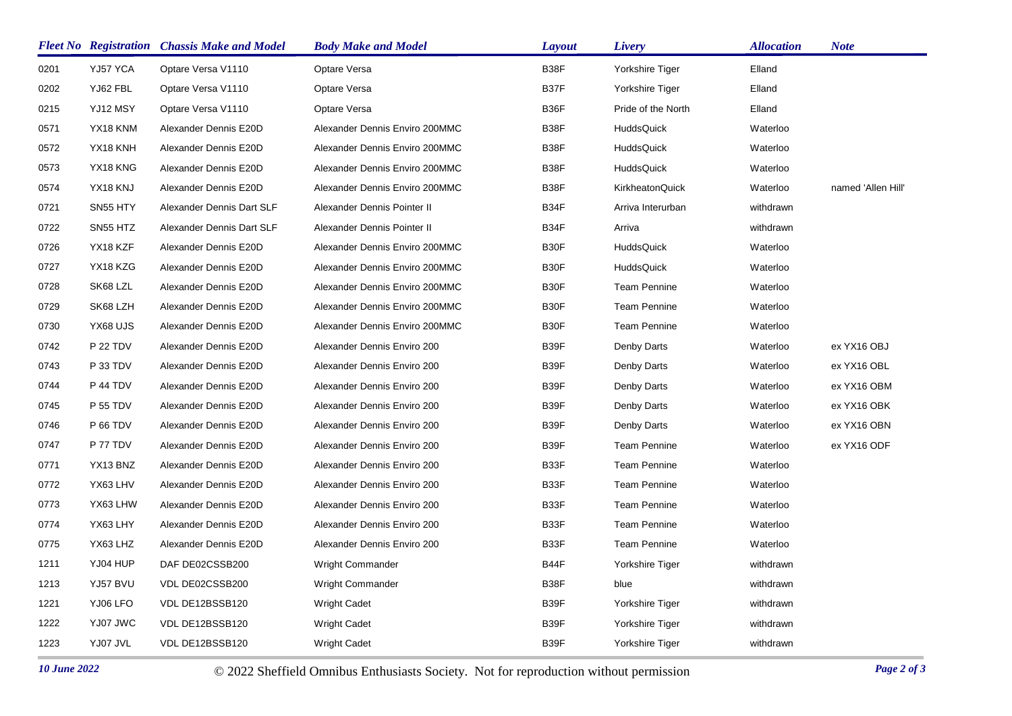|      |                 | <b>Fleet No</b> Registration Chassis Make and Model | <b>Body Make and Model</b>     | <b>Layout</b> | Livery              | <i><b>Allocation</b></i> | <b>Note</b>        |
|------|-----------------|-----------------------------------------------------|--------------------------------|---------------|---------------------|--------------------------|--------------------|
| 0201 | YJ57 YCA        | Optare Versa V1110                                  | Optare Versa                   | B38F          | Yorkshire Tiger     | Elland                   |                    |
| 0202 | YJ62 FBL        | Optare Versa V1110                                  | Optare Versa                   | B37F          | Yorkshire Tiger     | Elland                   |                    |
| 0215 | YJ12 MSY        | Optare Versa V1110                                  | Optare Versa                   | B36F          | Pride of the North  | Elland                   |                    |
| 0571 | YX18 KNM        | Alexander Dennis E20D                               | Alexander Dennis Enviro 200MMC | B38F          | <b>HuddsQuick</b>   | Waterloo                 |                    |
| 0572 | YX18 KNH        | Alexander Dennis E20D                               | Alexander Dennis Enviro 200MMC | B38F          | <b>HuddsQuick</b>   | Waterloo                 |                    |
| 0573 | YX18 KNG        | Alexander Dennis E20D                               | Alexander Dennis Enviro 200MMC | B38F          | <b>HuddsQuick</b>   | Waterloo                 |                    |
| 0574 | YX18 KNJ        | Alexander Dennis E20D                               | Alexander Dennis Enviro 200MMC | B38F          | KirkheatonQuick     | Waterloo                 | named 'Allen Hill' |
| 0721 | SN55 HTY        | Alexander Dennis Dart SLF                           | Alexander Dennis Pointer II    | B34F          | Arriva Interurban   | withdrawn                |                    |
| 0722 | SN55 HTZ        | Alexander Dennis Dart SLF                           | Alexander Dennis Pointer II    | B34F          | Arriva              | withdrawn                |                    |
| 0726 | YX18 KZF        | Alexander Dennis E20D                               | Alexander Dennis Enviro 200MMC | B30F          | <b>HuddsQuick</b>   | Waterloo                 |                    |
| 0727 | YX18 KZG        | Alexander Dennis E20D                               | Alexander Dennis Enviro 200MMC | B30F          | <b>HuddsQuick</b>   | Waterloo                 |                    |
| 0728 | SK68 LZL        | Alexander Dennis E20D                               | Alexander Dennis Enviro 200MMC | B30F          | <b>Team Pennine</b> | Waterloo                 |                    |
| 0729 | SK68 LZH        | Alexander Dennis E20D                               | Alexander Dennis Enviro 200MMC | B30F          | <b>Team Pennine</b> | Waterloo                 |                    |
| 0730 | YX68 UJS        | Alexander Dennis E20D                               | Alexander Dennis Enviro 200MMC | B30F          | <b>Team Pennine</b> | Waterloo                 |                    |
| 0742 | <b>P 22 TDV</b> | Alexander Dennis E20D                               | Alexander Dennis Enviro 200    | B39F          | Denby Darts         | Waterloo                 | ex YX16 OBJ        |
| 0743 | P 33 TDV        | Alexander Dennis E20D                               | Alexander Dennis Enviro 200    | B39F          | Denby Darts         | Waterloo                 | ex YX16 OBL        |
| 0744 | P 44 TDV        | Alexander Dennis E20D                               | Alexander Dennis Enviro 200    | B39F          | Denby Darts         | Waterloo                 | ex YX16 OBM        |
| 0745 | <b>P 55 TDV</b> | Alexander Dennis E20D                               | Alexander Dennis Enviro 200    | B39F          | Denby Darts         | Waterloo                 | ex YX16 OBK        |
| 0746 | <b>P 66 TDV</b> | Alexander Dennis E20D                               | Alexander Dennis Enviro 200    | B39F          | Denby Darts         | Waterloo                 | ex YX16 OBN        |
| 0747 | P 77 TDV        | Alexander Dennis E20D                               | Alexander Dennis Enviro 200    | B39F          | <b>Team Pennine</b> | Waterloo                 | ex YX16 ODF        |
| 0771 | YX13 BNZ        | Alexander Dennis E20D                               | Alexander Dennis Enviro 200    | B33F          | <b>Team Pennine</b> | Waterloo                 |                    |
| 0772 | YX63 LHV        | Alexander Dennis E20D                               | Alexander Dennis Enviro 200    | B33F          | <b>Team Pennine</b> | Waterloo                 |                    |
| 0773 | YX63 LHW        | Alexander Dennis E20D                               | Alexander Dennis Enviro 200    | B33F          | <b>Team Pennine</b> | Waterloo                 |                    |
| 0774 | YX63 LHY        | Alexander Dennis E20D                               | Alexander Dennis Enviro 200    | B33F          | <b>Team Pennine</b> | Waterloo                 |                    |
| 0775 | YX63 LHZ        | Alexander Dennis E20D                               | Alexander Dennis Enviro 200    | B33F          | <b>Team Pennine</b> | Waterloo                 |                    |
| 1211 | YJ04 HUP        | DAF DE02CSSB200                                     | <b>Wright Commander</b>        | B44F          | Yorkshire Tiger     | withdrawn                |                    |
| 1213 | YJ57 BVU        | VDL DE02CSSB200                                     | <b>Wright Commander</b>        | B38F          | blue                | withdrawn                |                    |
| 1221 | YJ06 LFO        | VDL DE12BSSB120                                     | <b>Wright Cadet</b>            | B39F          | Yorkshire Tiger     | withdrawn                |                    |
| 1222 | YJ07 JWC        | VDL DE12BSSB120                                     | <b>Wright Cadet</b>            | B39F          | Yorkshire Tiger     | withdrawn                |                    |
| 1223 | YJ07 JVL        | VDL DE12BSSB120                                     | <b>Wright Cadet</b>            | B39F          | Yorkshire Tiger     | withdrawn                |                    |

*10 June 2022* © 2022 Sheffield Omnibus Enthusiasts Society. Not for reproduction without permission *Page 2 of 3*